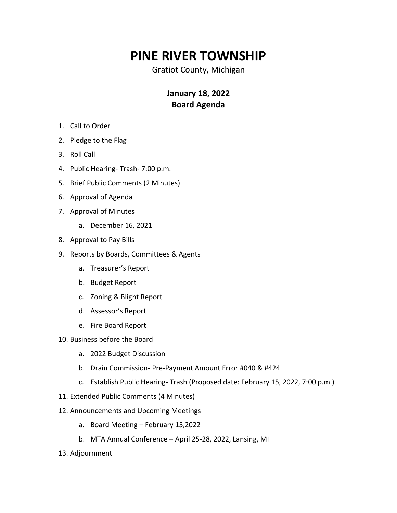## **PINE RIVER TOWNSHIP**

Gratiot County, Michigan

## **January 18, 2022 Board Agenda**

- 1. Call to Order
- 2. Pledge to the Flag
- 3. Roll Call
- 4. Public Hearing- Trash- 7:00 p.m.
- 5. Brief Public Comments (2 Minutes)
- 6. Approval of Agenda
- 7. Approval of Minutes
	- a. December 16, 2021
- 8. Approval to Pay Bills
- 9. Reports by Boards, Committees & Agents
	- a. Treasurer's Report
	- b. Budget Report
	- c. Zoning & Blight Report
	- d. Assessor's Report
	- e. Fire Board Report
- 10. Business before the Board
	- a. 2022 Budget Discussion
	- b. Drain Commission- Pre-Payment Amount Error #040 & #424
	- c. Establish Public Hearing- Trash (Proposed date: February 15, 2022, 7:00 p.m.)
- 11. Extended Public Comments (4 Minutes)
- 12. Announcements and Upcoming Meetings
	- a. Board Meeting February 15,2022
	- b. MTA Annual Conference April 25-28, 2022, Lansing, MI
- 13. Adjournment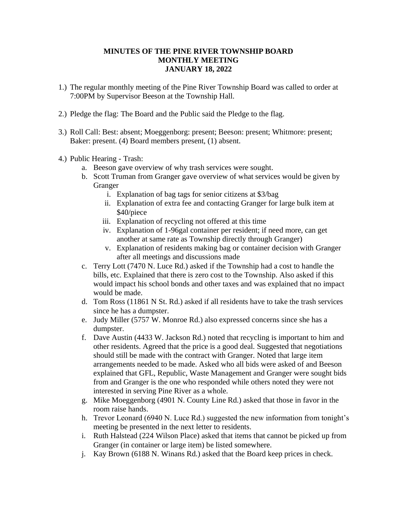## **MINUTES OF THE PINE RIVER TOWNSHIP BOARD MONTHLY MEETING JANUARY 18, 2022**

- 1.) The regular monthly meeting of the Pine River Township Board was called to order at 7:00PM by Supervisor Beeson at the Township Hall.
- 2.) Pledge the flag: The Board and the Public said the Pledge to the flag.
- 3.) Roll Call: Best: absent; Moeggenborg: present; Beeson: present; Whitmore: present; Baker: present. (4) Board members present, (1) absent.
- 4.) Public Hearing Trash:
	- a. Beeson gave overview of why trash services were sought.
	- b. Scott Truman from Granger gave overview of what services would be given by Granger
		- i. Explanation of bag tags for senior citizens at \$3/bag
		- ii. Explanation of extra fee and contacting Granger for large bulk item at \$40/piece
		- iii. Explanation of recycling not offered at this time
		- iv. Explanation of 1-96gal container per resident; if need more, can get another at same rate as Township directly through Granger)
		- v. Explanation of residents making bag or container decision with Granger after all meetings and discussions made
	- c. Terry Lott (7470 N. Luce Rd.) asked if the Township had a cost to handle the bills, etc. Explained that there is zero cost to the Township. Also asked if this would impact his school bonds and other taxes and was explained that no impact would be made.
	- d. Tom Ross (11861 N St. Rd.) asked if all residents have to take the trash services since he has a dumpster.
	- e. Judy Miller (5757 W. Monroe Rd.) also expressed concerns since she has a dumpster.
	- f. Dave Austin (4433 W. Jackson Rd.) noted that recycling is important to him and other residents. Agreed that the price is a good deal. Suggested that negotiations should still be made with the contract with Granger. Noted that large item arrangements needed to be made. Asked who all bids were asked of and Beeson explained that GFL, Republic, Waste Management and Granger were sought bids from and Granger is the one who responded while others noted they were not interested in serving Pine River as a whole.
	- g. Mike Moeggenborg (4901 N. County Line Rd.) asked that those in favor in the room raise hands.
	- h. Trevor Leonard (6940 N. Luce Rd.) suggested the new information from tonight's meeting be presented in the next letter to residents.
	- i. Ruth Halstead (224 Wilson Place) asked that items that cannot be picked up from Granger (in container or large item) be listed somewhere.
	- j. Kay Brown (6188 N. Winans Rd.) asked that the Board keep prices in check.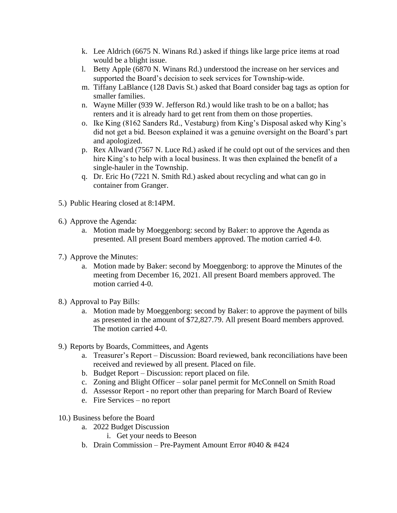- k. Lee Aldrich (6675 N. Winans Rd.) asked if things like large price items at road would be a blight issue.
- l. Betty Apple (6870 N. Winans Rd.) understood the increase on her services and supported the Board's decision to seek services for Township-wide.
- m. Tiffany LaBlance (128 Davis St.) asked that Board consider bag tags as option for smaller families.
- n. Wayne Miller (939 W. Jefferson Rd.) would like trash to be on a ballot; has renters and it is already hard to get rent from them on those properties.
- o. Ike King (8162 Sanders Rd., Vestaburg) from King's Disposal asked why King's did not get a bid. Beeson explained it was a genuine oversight on the Board's part and apologized.
- p. Rex Allward (7567 N. Luce Rd.) asked if he could opt out of the services and then hire King's to help with a local business. It was then explained the benefit of a single-hauler in the Township.
- q. Dr. Eric Ho (7221 N. Smith Rd.) asked about recycling and what can go in container from Granger.
- 5.) Public Hearing closed at 8:14PM.
- 6.) Approve the Agenda:
	- a. Motion made by Moeggenborg: second by Baker: to approve the Agenda as presented. All present Board members approved. The motion carried 4-0.
- 7.) Approve the Minutes:
	- a. Motion made by Baker: second by Moeggenborg: to approve the Minutes of the meeting from December 16, 2021. All present Board members approved. The motion carried 4-0.
- 8.) Approval to Pay Bills:
	- a. Motion made by Moeggenborg: second by Baker: to approve the payment of bills as presented in the amount of \$72,827.79. All present Board members approved. The motion carried 4-0.
- 9.) Reports by Boards, Committees, and Agents
	- a. Treasurer's Report Discussion: Board reviewed, bank reconciliations have been received and reviewed by all present. Placed on file.
	- b. Budget Report Discussion: report placed on file.
	- c. Zoning and Blight Officer solar panel permit for McConnell on Smith Road
	- d. Assessor Report no report other than preparing for March Board of Review
	- e. Fire Services no report
- 10.) Business before the Board
	- a. 2022 Budget Discussion
		- i. Get your needs to Beeson
	- b. Drain Commission Pre-Payment Amount Error #040 & #424